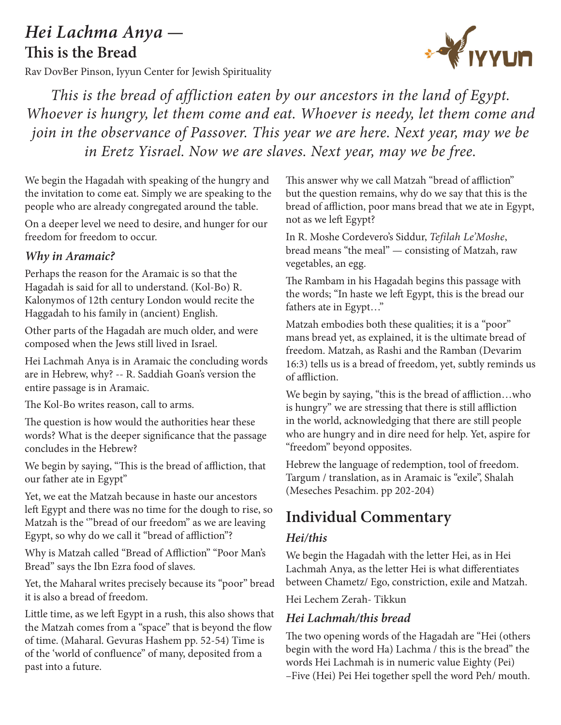# *Hei Lachma Anya* **— This is the Bread**

Rav DovBer Pinson, Iyyun Center for Jewish Spirituality



*This is the bread of affliction eaten by our ancestors in the land of Egypt. Whoever is hungry, let them come and eat. Whoever is needy, let them come and join in the observance of Passover. This year we are here. Next year, may we be in Eretz Yisrael. Now we are slaves. Next year, may we be free.*

We begin the Hagadah with speaking of the hungry and the invitation to come eat. Simply we are speaking to the people who are already congregated around the table.

On a deeper level we need to desire, and hunger for our freedom for freedom to occur.

#### *Why in Aramaic?*

Perhaps the reason for the Aramaic is so that the Hagadah is said for all to understand. (Kol-Bo) R. Kalonymos of 12th century London would recite the Haggadah to his family in (ancient) English.

Other parts of the Hagadah are much older, and were composed when the Jews still lived in Israel.

Hei Lachmah Anya is in Aramaic the concluding words are in Hebrew, why? -- R. Saddiah Goan's version the entire passage is in Aramaic.

The Kol-Bo writes reason, call to arms.

The question is how would the authorities hear these words? What is the deeper significance that the passage concludes in the Hebrew?

We begin by saying, "This is the bread of affliction, that our father ate in Egypt"

Yet, we eat the Matzah because in haste our ancestors left Egypt and there was no time for the dough to rise, so Matzah is the '"bread of our freedom" as we are leaving Egypt, so why do we call it "bread of affliction"?

Why is Matzah called "Bread of Affliction" "Poor Man's Bread" says the Ibn Ezra food of slaves.

Yet, the Maharal writes precisely because its "poor" bread it is also a bread of freedom.

Little time, as we left Egypt in a rush, this also shows that the Matzah comes from a "space" that is beyond the flow of time. (Maharal. Gevuras Hashem pp. 52-54) Time is of the 'world of confluence" of many, deposited from a past into a future.

This answer why we call Matzah "bread of affliction" but the question remains, why do we say that this is the bread of affliction, poor mans bread that we ate in Egypt, not as we left Egypt?

In R. Moshe Cordevero's Siddur, *Tefilah Le'Moshe*, bread means "the meal" — consisting of Matzah, raw vegetables, an egg.

The Rambam in his Hagadah begins this passage with the words; "In haste we left Egypt, this is the bread our fathers ate in Egypt…"

Matzah embodies both these qualities; it is a "poor" mans bread yet, as explained, it is the ultimate bread of freedom. Matzah, as Rashi and the Ramban (Devarim 16:3) tells us is a bread of freedom, yet, subtly reminds us of affliction.

We begin by saying, "this is the bread of affliction…who is hungry" we are stressing that there is still affliction in the world, acknowledging that there are still people who are hungry and in dire need for help. Yet, aspire for "freedom" beyond opposites.

Hebrew the language of redemption, tool of freedom. Targum / translation, as in Aramaic is "exile", Shalah (Meseches Pesachim. pp 202-204)

## **Individual Commentary**

### *Hei/this*

We begin the Hagadah with the letter Hei, as in Hei Lachmah Anya, as the letter Hei is what differentiates between Chametz/ Ego, constriction, exile and Matzah.

Hei Lechem Zerah- Tikkun

#### *Hei Lachmah/this bread*

The two opening words of the Hagadah are "Hei (others begin with the word Ha) Lachma / this is the bread" the words Hei Lachmah is in numeric value Eighty (Pei) –Five (Hei) Pei Hei together spell the word Peh/ mouth.